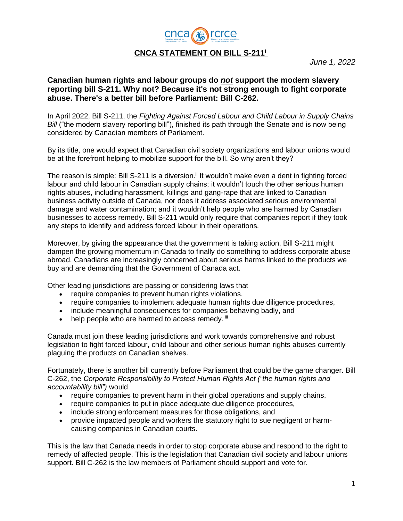

*June 1, 2022*

## **Canadian human rights and labour groups do** *not* **support the modern slavery reporting bill S-211. Why not? Because it's not strong enough to fight corporate abuse. There's a better bill before Parliament: Bill C-262.**

In April 2022, Bill S-211, the *Fighting Against Forced Labour and Child Labour in Supply Chains Bill* ("the modern slavery reporting bill"), finished its path through the Senate and is now being considered by Canadian members of Parliament.

By its title, one would expect that Canadian civil society organizations and labour unions would be at the forefront helping to mobilize support for the bill. So why aren't they?

The reason is simple: Bill S-211 is a diversion.<sup>ii</sup> It wouldn't make even a dent in fighting forced labour and child labour in Canadian supply chains; it wouldn't touch the other serious human rights abuses, including harassment, killings and gang-rape that are linked to Canadian business activity outside of Canada, nor does it address associated serious environmental damage and water contamination; and it wouldn't help people who are harmed by Canadian businesses to access remedy. Bill S-211 would only require that companies report if they took any steps to identify and address forced labour in their operations.

Moreover, by giving the appearance that the government is taking action, Bill S-211 might dampen the growing momentum in Canada to finally do something to address corporate abuse abroad. Canadians are increasingly concerned about serious harms linked to the products we buy and are demanding that the Government of Canada act.

Other leading jurisdictions are passing or considering laws that

- require companies to prevent human rights violations,
- require companies to implement adequate human rights due diligence procedures,
- include meaningful consequences for companies behaving badly, and
- $\bullet$  help people who are harmed to access remedy.  $\mathbb{I}$

Canada must join these leading jurisdictions and work towards comprehensive and robust legislation to fight forced labour, child labour and other serious human rights abuses currently plaguing the products on Canadian shelves.

Fortunately, there is another bill currently before Parliament that could be the game changer. Bill C-262, the *Corporate Responsibility to Protect Human Rights Act ("the human rights and accountability bill")* would

- require companies to prevent harm in their global operations and supply chains,
- require companies to put in place adequate due diligence procedures,
- include strong enforcement measures for those obligations, and
- provide impacted people and workers the statutory right to sue negligent or harmcausing companies in Canadian courts.

This is the law that Canada needs in order to stop corporate abuse and respond to the right to remedy of affected people. This is the legislation that Canadian civil society and labour unions support. Bill C-262 is the law members of Parliament should support and vote for.